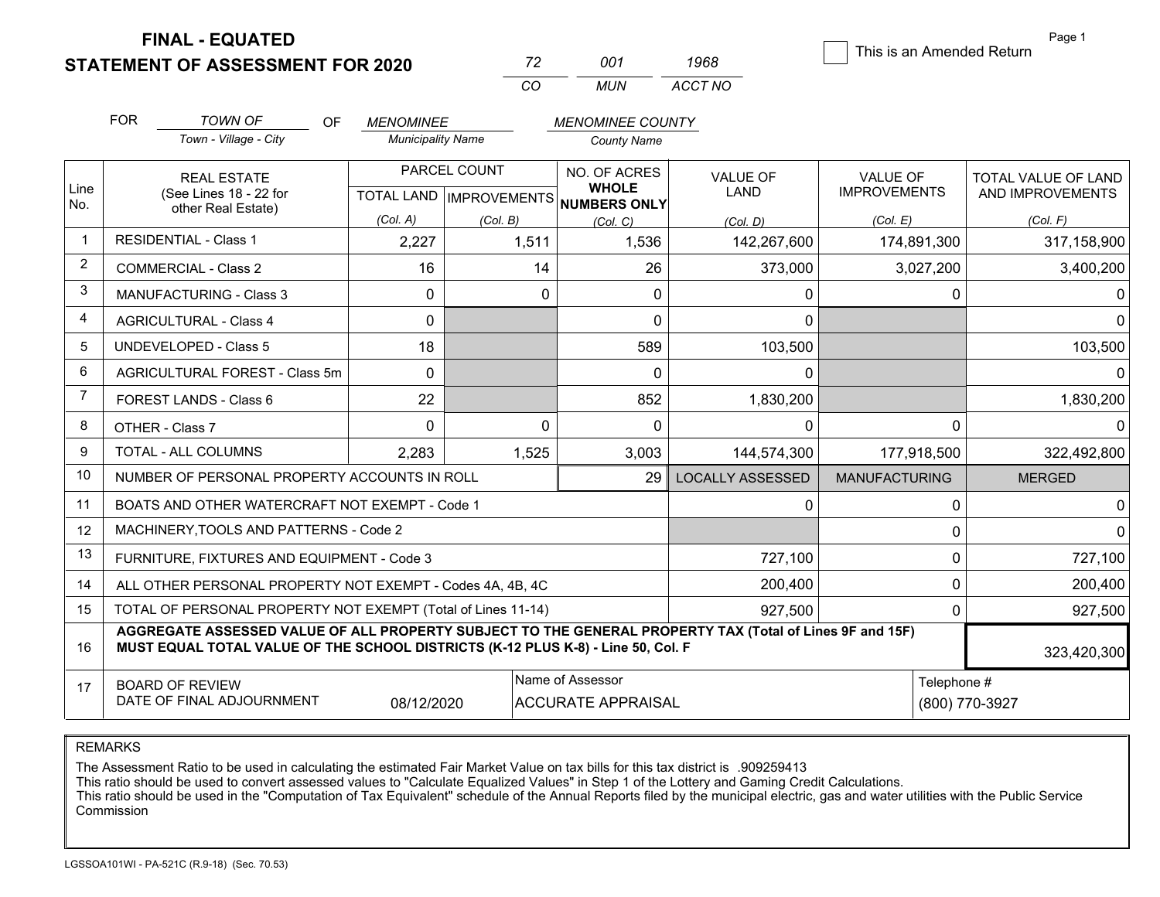**FINAL - EQUATED**

**STATEMENT OF ASSESSMENT FOR 2020** 

| 72  | 001 | 1968    |  |
|-----|-----|---------|--|
| CO. | MUN | ACCT NO |  |

This is an Amended Return

Page 1

|                | <b>FOR</b>                                                                                                                                                                                   | <b>TOWN OF</b><br><b>OF</b>                               | <b>MENOMINEE</b>         |          | <b>MENOMINEE COUNTY</b>                              |                         |                      |                     |
|----------------|----------------------------------------------------------------------------------------------------------------------------------------------------------------------------------------------|-----------------------------------------------------------|--------------------------|----------|------------------------------------------------------|-------------------------|----------------------|---------------------|
|                |                                                                                                                                                                                              | Town - Village - City                                     | <b>Municipality Name</b> |          | <b>County Name</b>                                   |                         |                      |                     |
|                | <b>REAL ESTATE</b>                                                                                                                                                                           |                                                           | PARCEL COUNT             |          | NO. OF ACRES                                         | <b>VALUE OF</b>         | VALUE OF             | TOTAL VALUE OF LAND |
| Line<br>No.    |                                                                                                                                                                                              | (See Lines 18 - 22 for<br>other Real Estate)              |                          |          | <b>WHOLE</b><br>TOTAL LAND IMPROVEMENTS NUMBERS ONLY | LAND                    | <b>IMPROVEMENTS</b>  | AND IMPROVEMENTS    |
|                |                                                                                                                                                                                              |                                                           | (Col. A)                 | (Col, B) | (Col, C)                                             | (Col, D)                | (Col, E)             | (Col, F)            |
| $\overline{1}$ |                                                                                                                                                                                              | <b>RESIDENTIAL - Class 1</b>                              | 2,227                    | 1,511    | 1,536                                                | 142,267,600             | 174,891,300          | 317,158,900         |
| $\overline{2}$ |                                                                                                                                                                                              | <b>COMMERCIAL - Class 2</b>                               | 16                       | 14       | 26                                                   | 373,000                 | 3,027,200            | 3,400,200           |
| 3              |                                                                                                                                                                                              | <b>MANUFACTURING - Class 3</b>                            | $\mathbf{0}$             | $\Omega$ | $\mathbf{0}$                                         | $\mathbf 0$             | 0                    |                     |
| 4              |                                                                                                                                                                                              | <b>AGRICULTURAL - Class 4</b>                             | $\mathbf{0}$             |          | $\mathbf{0}$                                         | $\mathbf{0}$            |                      | <sup>0</sup>        |
| 5              |                                                                                                                                                                                              | <b>UNDEVELOPED - Class 5</b>                              | 18                       |          | 589                                                  | 103,500                 |                      | 103,500             |
| 6              |                                                                                                                                                                                              | AGRICULTURAL FOREST - Class 5m                            | $\Omega$                 |          | $\mathbf 0$                                          | $\mathbf 0$             |                      | $\Omega$            |
| $\overline{7}$ |                                                                                                                                                                                              | FOREST LANDS - Class 6                                    | 22                       |          | 852                                                  | 1,830,200               |                      | 1,830,200           |
| 8              |                                                                                                                                                                                              | OTHER - Class 7                                           | $\Omega$                 | $\Omega$ | 0                                                    | $\mathbf 0$             | $\Omega$             | $\Omega$            |
| 9              |                                                                                                                                                                                              | TOTAL - ALL COLUMNS                                       | 2,283                    | 1,525    | 3,003                                                | 144,574,300             | 177,918,500          | 322,492,800         |
| 10             |                                                                                                                                                                                              | NUMBER OF PERSONAL PROPERTY ACCOUNTS IN ROLL              |                          |          | 29                                                   | <b>LOCALLY ASSESSED</b> | <b>MANUFACTURING</b> | <b>MERGED</b>       |
| 11             |                                                                                                                                                                                              | BOATS AND OTHER WATERCRAFT NOT EXEMPT - Code 1            |                          |          |                                                      | 0                       | 0                    | <sup>0</sup>        |
| 12             |                                                                                                                                                                                              | MACHINERY, TOOLS AND PATTERNS - Code 2                    |                          |          |                                                      |                         | 0                    |                     |
| 13             | FURNITURE, FIXTURES AND EQUIPMENT - Code 3                                                                                                                                                   |                                                           |                          |          |                                                      | 727,100                 | 0                    | 727,100             |
| 14             |                                                                                                                                                                                              | ALL OTHER PERSONAL PROPERTY NOT EXEMPT - Codes 4A, 4B, 4C |                          |          | 200,400                                              | 0                       | 200,400              |                     |
| 15             | TOTAL OF PERSONAL PROPERTY NOT EXEMPT (Total of Lines 11-14)<br>927,500<br>0                                                                                                                 |                                                           |                          |          |                                                      | 927,500                 |                      |                     |
| 16             | AGGREGATE ASSESSED VALUE OF ALL PROPERTY SUBJECT TO THE GENERAL PROPERTY TAX (Total of Lines 9F and 15F)<br>MUST EQUAL TOTAL VALUE OF THE SCHOOL DISTRICTS (K-12 PLUS K-8) - Line 50, Col. F |                                                           |                          |          |                                                      |                         |                      | 323,420,300         |
| 17             | Name of Assessor<br><b>BOARD OF REVIEW</b><br>DATE OF FINAL ADJOURNMENT<br>08/12/2020<br><b>ACCURATE APPRAISAL</b>                                                                           |                                                           |                          |          |                                                      | Telephone #             | (800) 770-3927       |                     |

REMARKS

The Assessment Ratio to be used in calculating the estimated Fair Market Value on tax bills for this tax district is .909259413

This ratio should be used to convert assessed values to "Calculate Equalized Values" in Step 1 of the Lottery and Gaming Credit Calculations.<br>This ratio should be used in the "Computation of Tax Equivalent" schedule of the Commission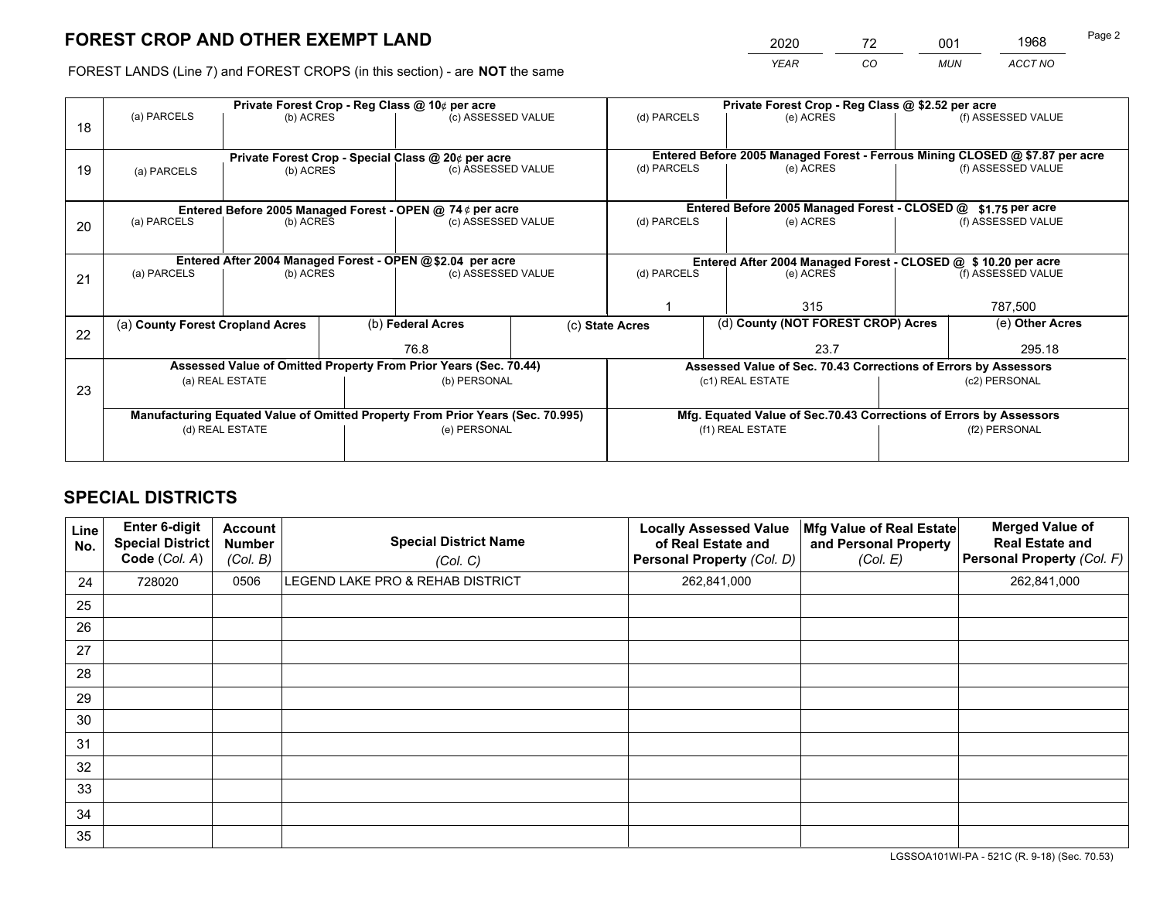# **FOREST CROP AND OTHER EXEMPT LAND**

|   | 2020        | 72 | 001        | 1968    | Page 2 |
|---|-------------|----|------------|---------|--------|
| е | <b>YEAR</b> | CO | <b>MUN</b> | ACCT NO |        |

FOREST LANDS (Line 7) and FOREST CROPS (in this section) - are **NOT** the same

| 18 | (a) PARCELS                                                                                       | Private Forest Crop - Reg Class @ 10¢ per acre<br>(b) ACRES                 |  | (c) ASSESSED VALUE                                                       |  | (d) PARCELS                                                                            | Private Forest Crop - Reg Class @ \$2.52 per acre<br>(e) ACRES |                                                                                                    | (f) ASSESSED VALUE        |  |
|----|---------------------------------------------------------------------------------------------------|-----------------------------------------------------------------------------|--|--------------------------------------------------------------------------|--|----------------------------------------------------------------------------------------|----------------------------------------------------------------|----------------------------------------------------------------------------------------------------|---------------------------|--|
| 19 | (a) PARCELS                                                                                       | (b) ACRES                                                                   |  | Private Forest Crop - Special Class @ 20¢ per acre<br>(c) ASSESSED VALUE |  | (d) PARCELS<br>(e) ACRES                                                               |                                                                | Entered Before 2005 Managed Forest - Ferrous Mining CLOSED @ \$7.87 per acre<br>(f) ASSESSED VALUE |                           |  |
| 20 | (a) PARCELS                                                                                       | Entered Before 2005 Managed Forest - OPEN @ 74 $\phi$ per acre<br>(b) ACRES |  | (c) ASSESSED VALUE                                                       |  | Entered Before 2005 Managed Forest - CLOSED @<br>(d) PARCELS<br>(e) ACRES              |                                                                | \$1.75 per acre<br>(f) ASSESSED VALUE                                                              |                           |  |
| 21 | (a) PARCELS                                                                                       | Entered After 2004 Managed Forest - OPEN @\$2.04 per acre<br>(b) ACRES      |  | (c) ASSESSED VALUE                                                       |  | (d) PARCELS<br>(e) ACRES<br>315                                                        |                                                                | Entered After 2004 Managed Forest - CLOSED @ \$ 10.20 per acre<br>(f) ASSESSED VALUE<br>787,500    |                           |  |
| 22 | (a) County Forest Cropland Acres                                                                  |                                                                             |  | (b) Federal Acres<br>76.8                                                |  | (d) County (NOT FOREST CROP) Acres<br>(c) State Acres<br>23.7                          |                                                                |                                                                                                    | (e) Other Acres<br>295.18 |  |
| 23 | Assessed Value of Omitted Property From Prior Years (Sec. 70.44)<br>(a) REAL ESTATE               |                                                                             |  | (b) PERSONAL                                                             |  | Assessed Value of Sec. 70.43 Corrections of Errors by Assessors<br>(c1) REAL ESTATE    |                                                                | (c2) PERSONAL                                                                                      |                           |  |
|    | Manufacturing Equated Value of Omitted Property From Prior Years (Sec. 70.995)<br>(d) REAL ESTATE |                                                                             |  | (e) PERSONAL                                                             |  | Mfg. Equated Value of Sec.70.43 Corrections of Errors by Assessors<br>(f1) REAL ESTATE |                                                                |                                                                                                    | (f2) PERSONAL             |  |

## **SPECIAL DISTRICTS**

| Line<br>No. | Enter 6-digit<br><b>Special District</b><br>Code (Col. A) | <b>Account</b><br><b>Number</b><br>(Col. B) | <b>Special District Name</b><br>(Col. C) | <b>Locally Assessed Value</b><br>of Real Estate and<br>Personal Property (Col. D) | Mfg Value of Real Estate<br>and Personal Property<br>(Col. E) | <b>Merged Value of</b><br><b>Real Estate and</b><br>Personal Property (Col. F) |
|-------------|-----------------------------------------------------------|---------------------------------------------|------------------------------------------|-----------------------------------------------------------------------------------|---------------------------------------------------------------|--------------------------------------------------------------------------------|
| 24          | 728020                                                    | 0506                                        | LEGEND LAKE PRO & REHAB DISTRICT         | 262,841,000                                                                       |                                                               | 262,841,000                                                                    |
| 25          |                                                           |                                             |                                          |                                                                                   |                                                               |                                                                                |
| 26          |                                                           |                                             |                                          |                                                                                   |                                                               |                                                                                |
| 27          |                                                           |                                             |                                          |                                                                                   |                                                               |                                                                                |
| 28          |                                                           |                                             |                                          |                                                                                   |                                                               |                                                                                |
| 29          |                                                           |                                             |                                          |                                                                                   |                                                               |                                                                                |
| 30          |                                                           |                                             |                                          |                                                                                   |                                                               |                                                                                |
| 31          |                                                           |                                             |                                          |                                                                                   |                                                               |                                                                                |
| 32          |                                                           |                                             |                                          |                                                                                   |                                                               |                                                                                |
| 33          |                                                           |                                             |                                          |                                                                                   |                                                               |                                                                                |
| 34          |                                                           |                                             |                                          |                                                                                   |                                                               |                                                                                |
| 35          |                                                           |                                             |                                          |                                                                                   |                                                               |                                                                                |

LGSSOA101WI-PA - 521C (R. 9-18) (Sec. 70.53)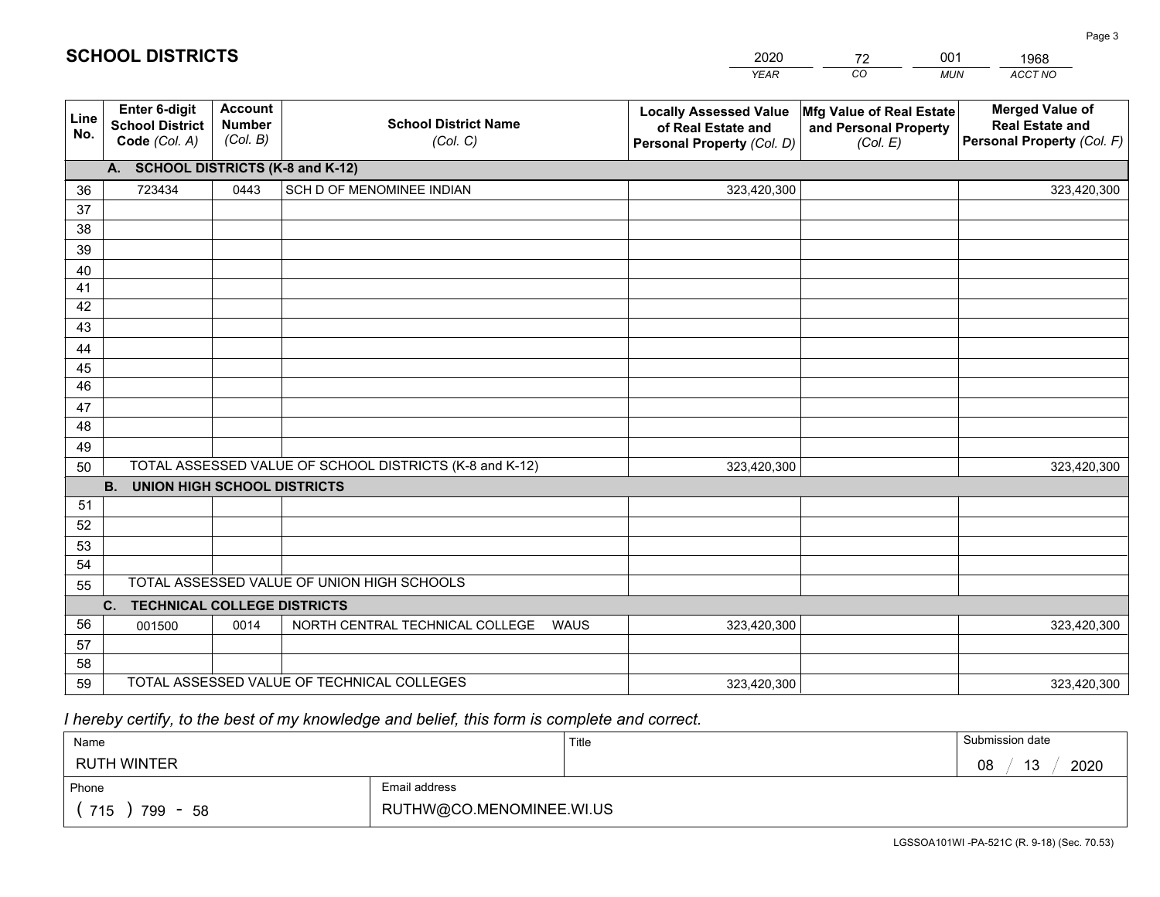|             |                                                                 |                                             |                                                         | <b>YEAR</b>                                                                       | CO<br><b>MUN</b>                                              | ACCT NO                                                                        |
|-------------|-----------------------------------------------------------------|---------------------------------------------|---------------------------------------------------------|-----------------------------------------------------------------------------------|---------------------------------------------------------------|--------------------------------------------------------------------------------|
| Line<br>No. | <b>Enter 6-digit</b><br><b>School District</b><br>Code (Col. A) | <b>Account</b><br><b>Number</b><br>(Col. B) | <b>School District Name</b><br>(Col. C)                 | <b>Locally Assessed Value</b><br>of Real Estate and<br>Personal Property (Col. D) | Mfg Value of Real Estate<br>and Personal Property<br>(Col. E) | <b>Merged Value of</b><br><b>Real Estate and</b><br>Personal Property (Col. F) |
|             | A. SCHOOL DISTRICTS (K-8 and K-12)                              |                                             |                                                         |                                                                                   |                                                               |                                                                                |
| 36          | 723434                                                          | 0443                                        | SCH D OF MENOMINEE INDIAN                               | 323,420,300                                                                       |                                                               | 323,420,300                                                                    |
| 37          |                                                                 |                                             |                                                         |                                                                                   |                                                               |                                                                                |
| 38          |                                                                 |                                             |                                                         |                                                                                   |                                                               |                                                                                |
| 39          |                                                                 |                                             |                                                         |                                                                                   |                                                               |                                                                                |
| 40          |                                                                 |                                             |                                                         |                                                                                   |                                                               |                                                                                |
| 41          |                                                                 |                                             |                                                         |                                                                                   |                                                               |                                                                                |
| 42          |                                                                 |                                             |                                                         |                                                                                   |                                                               |                                                                                |
| 43          |                                                                 |                                             |                                                         |                                                                                   |                                                               |                                                                                |
| 44<br>45    |                                                                 |                                             |                                                         |                                                                                   |                                                               |                                                                                |
| 46          |                                                                 |                                             |                                                         |                                                                                   |                                                               |                                                                                |
| 47          |                                                                 |                                             |                                                         |                                                                                   |                                                               |                                                                                |
| 48          |                                                                 |                                             |                                                         |                                                                                   |                                                               |                                                                                |
| 49          |                                                                 |                                             |                                                         |                                                                                   |                                                               |                                                                                |
| 50          |                                                                 |                                             | TOTAL ASSESSED VALUE OF SCHOOL DISTRICTS (K-8 and K-12) | 323,420,300                                                                       |                                                               | 323,420,300                                                                    |
|             | <b>B.</b><br><b>UNION HIGH SCHOOL DISTRICTS</b>                 |                                             |                                                         |                                                                                   |                                                               |                                                                                |
| 51          |                                                                 |                                             |                                                         |                                                                                   |                                                               |                                                                                |
| 52          |                                                                 |                                             |                                                         |                                                                                   |                                                               |                                                                                |
| 53          |                                                                 |                                             |                                                         |                                                                                   |                                                               |                                                                                |
| 54          |                                                                 |                                             |                                                         |                                                                                   |                                                               |                                                                                |
| 55          |                                                                 |                                             | TOTAL ASSESSED VALUE OF UNION HIGH SCHOOLS              |                                                                                   |                                                               |                                                                                |
|             | C.<br><b>TECHNICAL COLLEGE DISTRICTS</b>                        |                                             |                                                         |                                                                                   |                                                               |                                                                                |
| 56          | 001500                                                          | 0014                                        | NORTH CENTRAL TECHNICAL COLLEGE<br><b>WAUS</b>          | 323,420,300                                                                       |                                                               | 323,420,300                                                                    |
| 57          |                                                                 |                                             |                                                         |                                                                                   |                                                               |                                                                                |
| 58          |                                                                 |                                             |                                                         |                                                                                   |                                                               |                                                                                |
| 59          |                                                                 |                                             | TOTAL ASSESSED VALUE OF TECHNICAL COLLEGES              | 323,420,300                                                                       |                                                               | 323,420,300                                                                    |

2020

72

001

 *I hereby certify, to the best of my knowledge and belief, this form is complete and correct.*

**SCHOOL DISTRICTS**

| Name                |                          | Title | Submission date  |
|---------------------|--------------------------|-------|------------------|
| <b>RUTH WINTER</b>  |                          |       | 2020<br>13<br>08 |
| Phone               | Email address            |       |                  |
| 715<br>799<br>$-58$ | RUTHW@CO.MENOMINEE.WI.US |       |                  |

1968